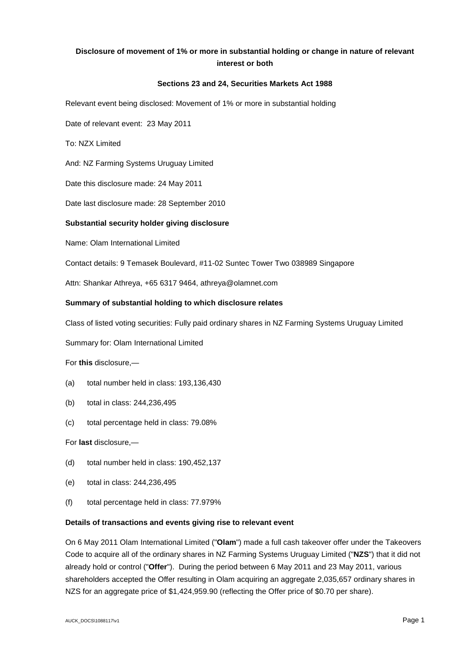# **Disclosure of movement of 1% or more in substantial holding or change in nature of relevant interest or both**

## **Sections 23 and 24, Securities Markets Act 1988**

Relevant event being disclosed: Movement of 1% or more in substantial holding

Date of relevant event: 23 May 2011

To: NZX Limited

And: NZ Farming Systems Uruguay Limited

Date this disclosure made: 24 May 2011

Date last disclosure made: 28 September 2010

## **Substantial security holder giving disclosure**

Name: Olam International Limited

Contact details: 9 Temasek Boulevard, #11-02 Suntec Tower Two 038989 Singapore

Attn: Shankar Athreya, +65 6317 9464, athreya@olamnet.com

## **Summary of substantial holding to which disclosure relates**

Class of listed voting securities: Fully paid ordinary shares in NZ Farming Systems Uruguay Limited

Summary for: Olam International Limited

For **this** disclosure,—

- (a) total number held in class: 193,136,430
- (b) total in class: 244,236,495
- (c) total percentage held in class: 79.08%

For **last** disclosure,—

- (d) total number held in class: 190,452,137
- (e) total in class: 244,236,495
- (f) total percentage held in class: 77.979%

#### **Details of transactions and events giving rise to relevant event**

On 6 May 2011 Olam International Limited ("**Olam**") made a full cash takeover offer under the Takeovers Code to acquire all of the ordinary shares in NZ Farming Systems Uruguay Limited ("**NZS**") that it did not already hold or control ("**Offer**"). During the period between 6 May 2011 and 23 May 2011, various shareholders accepted the Offer resulting in Olam acquiring an aggregate 2,035,657 ordinary shares in NZS for an aggregate price of \$1,424,959.90 (reflecting the Offer price of \$0.70 per share).